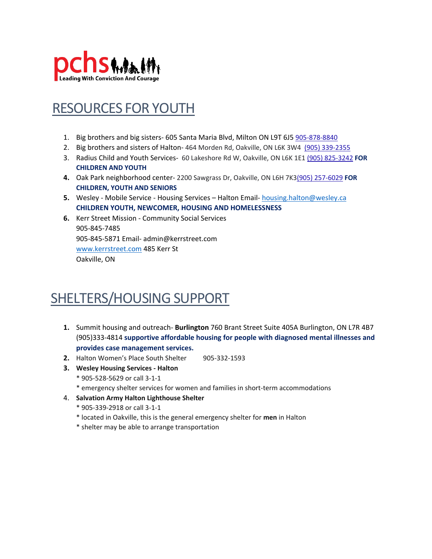

#### RESOURCES FOR YOUTH

- 1. Big brothers and big sisters- 605 Santa Maria Blvd, Milton ON L9T 6J5 [905-878-8840](tel:9058788840)
- 2. Big brothers and sisters of Halton- 464 Morden Rd, Oakville, ON L6K 3W4 [\(905\) 339-2355](https://www.google.com/search?rlz=1C1GCEA_enCA983CA983&tbs=lf:1,lf_ui:2&tbm=lcl&q=social+services+oakville&rflfq=1&num=10&sa=X&ved=2ahUKEwjSne28lPX0AhV8Ap0JHWXDAk4QjGp6BAgDEFc&biw=1366&bih=657&dpr=1)
- 3. Radius Child and Youth Services- 60 Lakeshore Rd W, Oakville, ON L6K 1E1 [\(905\) 825-3242](https://www.google.com/search?rlz=1C1GCEA_enCA983CA983&tbs=lf:1,lf_ui:2&tbm=lcl&q=social+services+oakville&rflfq=1&num=10&sa=X&ved=2ahUKEwjSne28lPX0AhV8Ap0JHWXDAk4QjGp6BAgDEFc&biw=1366&bih=657&dpr=1) **FOR CHILDREN AND YOUTH**
- **4.** Oak Park neighborhood center- 2200 Sawgrass Dr, Oakville, ON L6H 7K[3\(905\) 257-6029](https://www.google.com/search?rlz=1C1GCEA_enCA983CA983&tbs=lf:1,lf_ui:2&tbm=lcl&q=social+services+oakville&rflfq=1&num=10&sa=X&ved=2ahUKEwjSne28lPX0AhV8Ap0JHWXDAk4QjGp6BAgDEFc&biw=1366&bih=657&dpr=1) **FOR CHILDREN, YOUTH AND SENIORS**
- **5.** Wesley Mobile Service Housing Services Halton Email- [housing.halton@wesley.ca](mailto:housing.halton@wesley.ca)  **CHILDREN YOUTH, NEWCOMER, HOUSING AND HOMELESSNESS**
- **6.** Kerr Street Mission Community Social Services 905-845-7485 905-845-5871 Email- admin@kerrstreet.com [www.kerrstreet.com](file:///C:/Users/Arashdeep/AppData/Local/Microsoft/Windows/INetCache/Content.Outlook/RXRCCF4E/www.kerrstreet.com) 485 Kerr St Oakville, ON

## SHELTERS/HOUSING SUPPORT

- **1.** Summit housing and outreach- **Burlington** 760 Brant Street Suite 405A Burlington, ON L7R 4B7 (905)333-4814 **supportive affordable housing for people with diagnosed mental illnesses and provides case management services.**
- **2.** Halton Women's Place South Shelter 905-332-1593
- **3. Wesley Housing Services - Halton**
	- \* 905-528-5629 or call 3-1-1
	- \* emergency shelter services for women and families in short-term accommodations
- 4. **Salvation Army Halton Lighthouse Shelter**
	- \* 905-339-2918 or call 3-1-1
	- \* located in Oakville, this is the general emergency shelter for **men** in Halton
	- \* shelter may be able to arrange transportation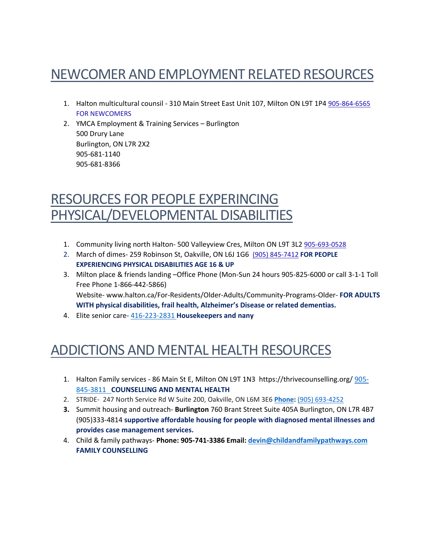# NEWCOMER AND EMPLOYMENT RELATED RESOURCES

- 1. Halton multicultural counsil 310 Main Street East Unit 107, Milton ON L9T 1P4 [905-864-6565](tel:9058646565) FOR NEWCOMERS
- 2. YMCA Employment & Training Services Burlington 500 Drury Lane Burlington, ON L7R 2X2 905-681-1140 905-681-8366

#### RESOURCES FOR PEOPLE EXPERINCING PHYSICAL/DEVELOPMENTAL DISABILITIES

- 1. Community living north Halton- 500 Valleyview Cres, Milton ON L9T 3L2 [905-693-0528](tel:9056930528)
- 2. March of dimes- 259 Robinson St, Oakville, ON L6J 1G6 [\(905\) 845-7412](https://www.google.com/search?rlz=1C1GCEA_enCA983CA983&tbs=lf:1,lf_ui:2&tbm=lcl&q=social+services+oakville&rflfq=1&num=10&sa=X&ved=2ahUKEwjSne28lPX0AhV8Ap0JHWXDAk4QjGp6BAgDEFc&biw=1366&bih=657&dpr=1) **FOR PEOPLE EXPERIENCING PHYSICAL DISABILITIES AGE 16 & UP**
- 3. Milton place & friends landing –Office Phone (Mon-Sun 24 hours 905-825-6000 or call 3-1-1 Toll Free Phone 1-866-442-5866) Website- www.halton.ca/For-Residents/Older-Adults/Community-Programs-Older- **FOR ADULTS WITH physical disabilities, frail health, Alzheimer's Disease or related dementias.**
- 4. Elite senior care- [416-223-2831](tel:416-223-2831%E2%80%8B%E2%80%8B) **Housekeepers and nany**

## ADDICTIONS AND MENTAL HEALTH RESOURCES

- 1. Halton Family services 86 Main St E, Milton ON L9T 1N3 https://thrivecounselling.org[/ 905-](tel:9058453811) [845-3811](tel:9058453811) **COUNSELLING AND MENTAL HEALTH**
- 2. STRIDE- 247 North Service Rd W Suite 200, Oakville, ON L6M 3E6 **[Phone:](https://www.google.com/search?rlz=1C1GCEA_enCA983CA983&q=stride+oakville+phone&ludocid=9350109474145033203&sa=X&ved=2ahUKEwj31aCBmPX0AhURkIkEHdqiAycQ6BN6BAgKEAI)** [\(905\) 693-4252](https://www.google.com/search?rlz=1C1GCEA_enCA983CA983&tbs=lf:1,lf_ui:2&tbm=lcl&q=social+services+oakville&rflfq=1&num=10&sa=X&ved=2ahUKEwjSne28lPX0AhV8Ap0JHWXDAk4QjGp6BAgDEFc&biw=1366&bih=657&dpr=1)
- **3.** Summit housing and outreach- **Burlington** 760 Brant Street Suite 405A Burlington, ON L7R 4B7 (905)333-4814 **supportive affordable housing for people with diagnosed mental illnesses and provides case management services.**
- 4. Child & family pathways- **Phone: 905-741-3386 Email: [devin@childandfamilypathways.com](mailto:devin@childandfamilypathways.com) FAMILY COUNSELLING**